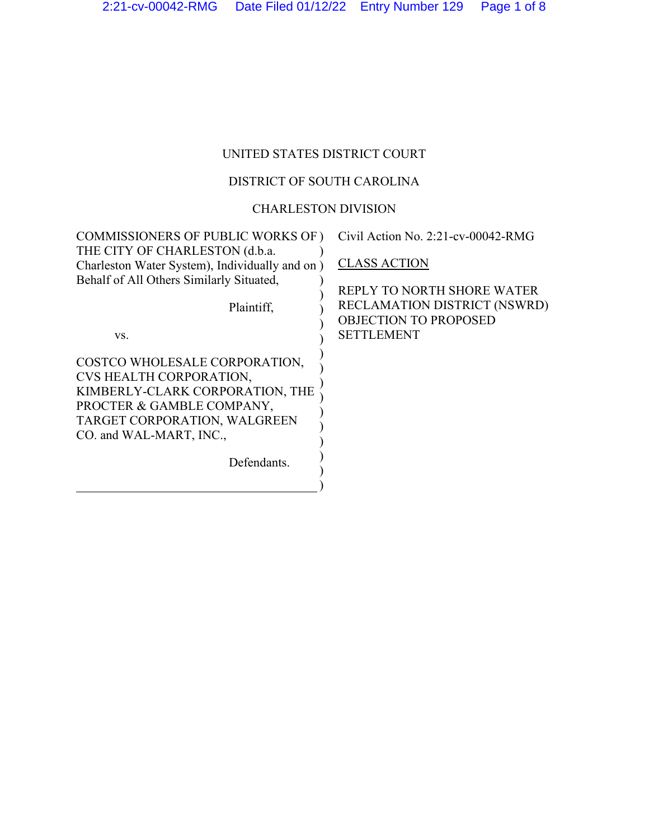# UNITED STATES DISTRICT COURT

## DISTRICT OF SOUTH CAROLINA

## CHARLESTON DIVISION

| <b>COMMISSIONERS OF PUBLIC WORKS OF)</b>       | Civil Action No. 2:21-cv-00042-RMG  |
|------------------------------------------------|-------------------------------------|
| THE CITY OF CHARLESTON (d.b.a.                 |                                     |
| Charleston Water System), Individually and on) | <b>CLASS ACTION</b>                 |
| Behalf of All Others Similarly Situated,       |                                     |
|                                                | REPLY TO NORTH SHORE WATER          |
| Plaintiff,                                     | <b>RECLAMATION DISTRICT (NSWRD)</b> |
|                                                | <b>OBJECTION TO PROPOSED</b>        |
| VS.                                            | <b>SETTLEMENT</b>                   |
| COSTCO WHOLESALE CORPORATION,                  |                                     |
| CVS HEALTH CORPORATION,                        |                                     |
| KIMBERLY-CLARK CORPORATION, THE                |                                     |
| PROCTER & GAMBLE COMPANY,                      |                                     |
| TARGET CORPORATION, WALGREEN                   |                                     |
| CO. and WAL-MART, INC.,                        |                                     |
|                                                |                                     |
| Defendants.                                    |                                     |
|                                                |                                     |
|                                                |                                     |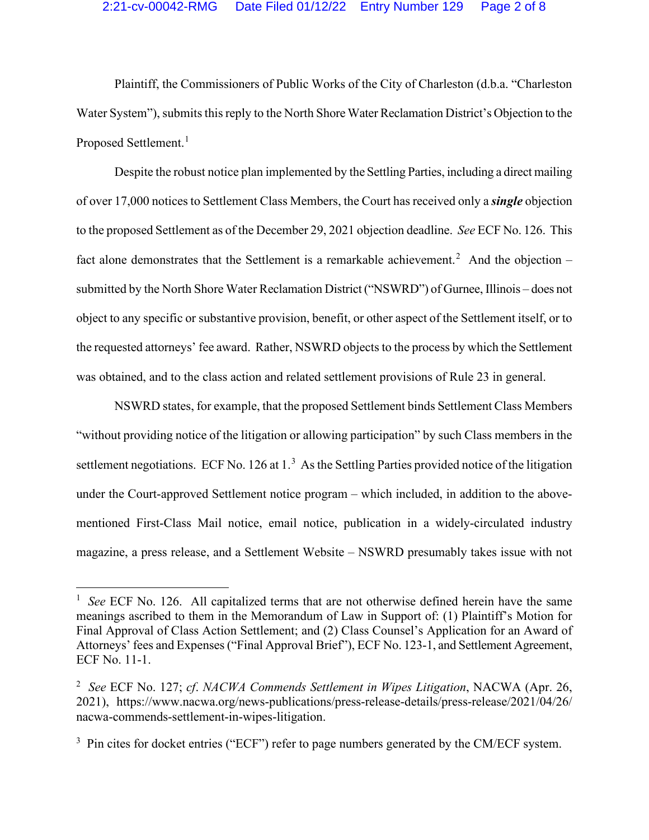### 2:21-cv-00042-RMG Date Filed 01/12/22 Entry Number 129 Page 2 of 8

Plaintiff, the Commissioners of Public Works of the City of Charleston (d.b.a. "Charleston Water System"), submits this reply to the North Shore Water Reclamation District's Objection to the Proposed Settlement.<sup>[1](#page-1-0)</sup>

Despite the robust notice plan implemented by the Settling Parties, including a direct mailing of over 17,000 notices to Settlement Class Members, the Court has received only a *single* objection to the proposed Settlement as of the December 29, 2021 objection deadline. *See* ECF No. 126. This fact alone demonstrates that the Settlement is a remarkable achievement.<sup>[2](#page-1-1)</sup> And the objection  $$ submitted by the North Shore Water Reclamation District ("NSWRD") of Gurnee, Illinois – does not object to any specific or substantive provision, benefit, or other aspect of the Settlement itself, or to the requested attorneys' fee award. Rather, NSWRD objects to the process by which the Settlement was obtained, and to the class action and related settlement provisions of Rule 23 in general.

NSWRD states, for example, that the proposed Settlement binds Settlement Class Members "without providing notice of the litigation or allowing participation" by such Class members in the settlement negotiations. ECF No. 126 at  $1<sup>3</sup>$  $1<sup>3</sup>$  $1<sup>3</sup>$  As the Settling Parties provided notice of the litigation under the Court-approved Settlement notice program – which included, in addition to the abovementioned First-Class Mail notice, email notice, publication in a widely-circulated industry magazine, a press release, and a Settlement Website – NSWRD presumably takes issue with not

<span id="page-1-0"></span><sup>&</sup>lt;sup>1</sup> *See* ECF No. 126. All capitalized terms that are not otherwise defined herein have the same meanings ascribed to them in the Memorandum of Law in Support of: (1) Plaintiff's Motion for Final Approval of Class Action Settlement; and (2) Class Counsel's Application for an Award of Attorneys' fees and Expenses ("Final Approval Brief"), ECF No. 123-1, and Settlement Agreement, ECF No. 11-1.

<span id="page-1-1"></span><sup>2</sup> *See* ECF No. 127; *cf*. *NACWA Commends Settlement in Wipes Litigation*, NACWA (Apr. 26, 2021), https://www.nacwa.org/news-publications/press-release-details/press-release/2021/04/26/ nacwa-commends-settlement-in-wipes-litigation.

<span id="page-1-2"></span> $3$  Pin cites for docket entries ("ECF") refer to page numbers generated by the CM/ECF system.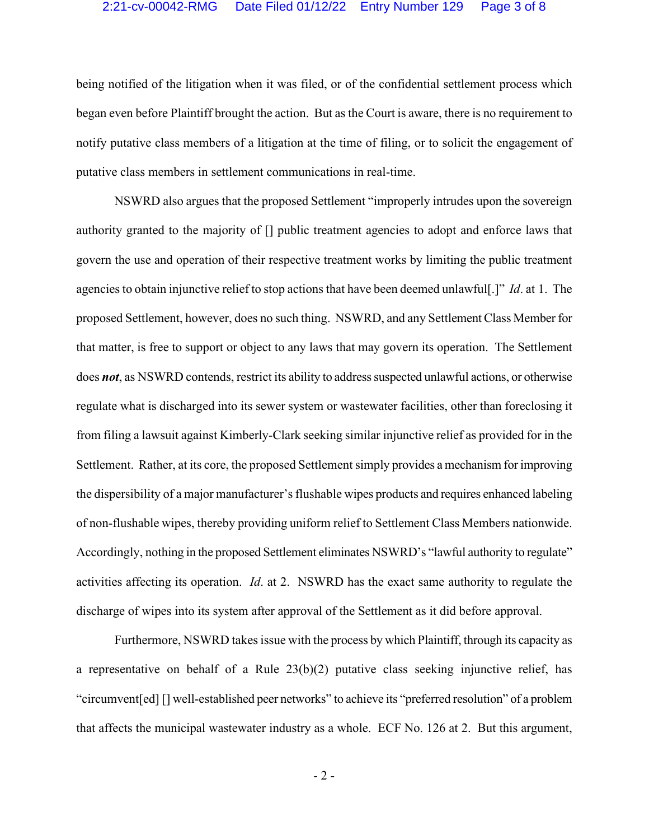#### 2:21-cv-00042-RMG Date Filed 01/12/22 Entry Number 129 Page 3 of 8

being notified of the litigation when it was filed, or of the confidential settlement process which began even before Plaintiff brought the action. But as the Court is aware, there is no requirement to notify putative class members of a litigation at the time of filing, or to solicit the engagement of putative class members in settlement communications in real-time.

NSWRD also argues that the proposed Settlement "improperly intrudes upon the sovereign authority granted to the majority of [] public treatment agencies to adopt and enforce laws that govern the use and operation of their respective treatment works by limiting the public treatment agencies to obtain injunctive relief to stop actions that have been deemed unlawful[.]" *Id*. at 1. The proposed Settlement, however, does no such thing. NSWRD, and any Settlement Class Member for that matter, is free to support or object to any laws that may govern its operation. The Settlement does *not*, as NSWRD contends, restrict its ability to address suspected unlawful actions, or otherwise regulate what is discharged into its sewer system or wastewater facilities, other than foreclosing it from filing a lawsuit against Kimberly-Clark seeking similar injunctive relief as provided for in the Settlement. Rather, at its core, the proposed Settlement simply provides a mechanism for improving the dispersibility of a major manufacturer's flushable wipes products and requires enhanced labeling of non-flushable wipes, thereby providing uniform relief to Settlement Class Members nationwide. Accordingly, nothing in the proposed Settlement eliminates NSWRD's "lawful authority to regulate" activities affecting its operation. *Id*. at 2. NSWRD has the exact same authority to regulate the discharge of wipes into its system after approval of the Settlement as it did before approval.

Furthermore, NSWRD takes issue with the process by which Plaintiff, through its capacity as a representative on behalf of a Rule 23(b)(2) putative class seeking injunctive relief, has "circumvent[ed] [] well-established peer networks" to achieve its "preferred resolution" of a problem that affects the municipal wastewater industry as a whole. ECF No. 126 at 2. But this argument,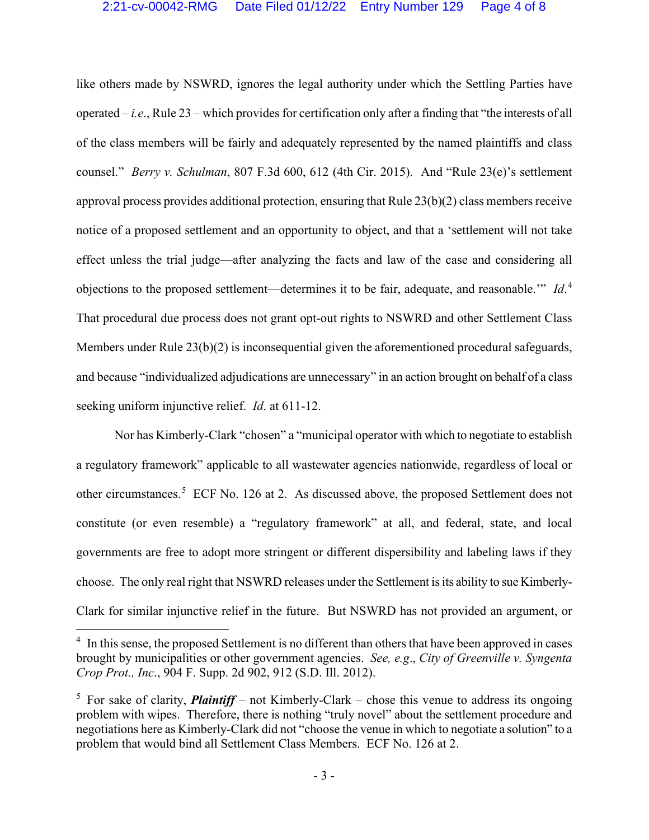like others made by NSWRD, ignores the legal authority under which the Settling Parties have operated – *i.e*., Rule 23 – which provides for certification only after a finding that "the interests of all of the class members will be fairly and adequately represented by the named plaintiffs and class counsel." *Berry v. Schulman*, 807 F.3d 600, 612 (4th Cir. 2015). And "Rule 23(e)'s settlement approval process provides additional protection, ensuring that Rule 23(b)(2) class members receive notice of a proposed settlement and an opportunity to object, and that a 'settlement will not take effect unless the trial judge—after analyzing the facts and law of the case and considering all objections to the proposed settlement—determines it to be fair, adequate, and reasonable.'" *Id*. [4](#page-3-0) That procedural due process does not grant opt-out rights to NSWRD and other Settlement Class Members under Rule 23(b)(2) is inconsequential given the aforementioned procedural safeguards, and because "individualized adjudications are unnecessary" in an action brought on behalf of a class seeking uniform injunctive relief. *Id*. at 611-12.

Nor has Kimberly-Clark "chosen" a "municipal operator with which to negotiate to establish a regulatory framework" applicable to all wastewater agencies nationwide, regardless of local or other circumstances.<sup>[5](#page-3-1)</sup> ECF No. 126 at 2. As discussed above, the proposed Settlement does not constitute (or even resemble) a "regulatory framework" at all, and federal, state, and local governments are free to adopt more stringent or different dispersibility and labeling laws if they choose. The only real right that NSWRD releases under the Settlement is its ability to sue Kimberly-Clark for similar injunctive relief in the future. But NSWRD has not provided an argument, or

<span id="page-3-0"></span><sup>&</sup>lt;sup>4</sup> In this sense, the proposed Settlement is no different than others that have been approved in cases brought by municipalities or other government agencies. *See, e.g*., *City of Greenville v. Syngenta Crop Prot., Inc*., 904 F. Supp. 2d 902, 912 (S.D. Ill. 2012).

<span id="page-3-1"></span><sup>&</sup>lt;sup>5</sup> For sake of clarity, *Plaintiff* – not Kimberly-Clark – chose this venue to address its ongoing problem with wipes. Therefore, there is nothing "truly novel" about the settlement procedure and negotiations here as Kimberly-Clark did not "choose the venue in which to negotiate a solution" to a problem that would bind all Settlement Class Members. ECF No. 126 at 2.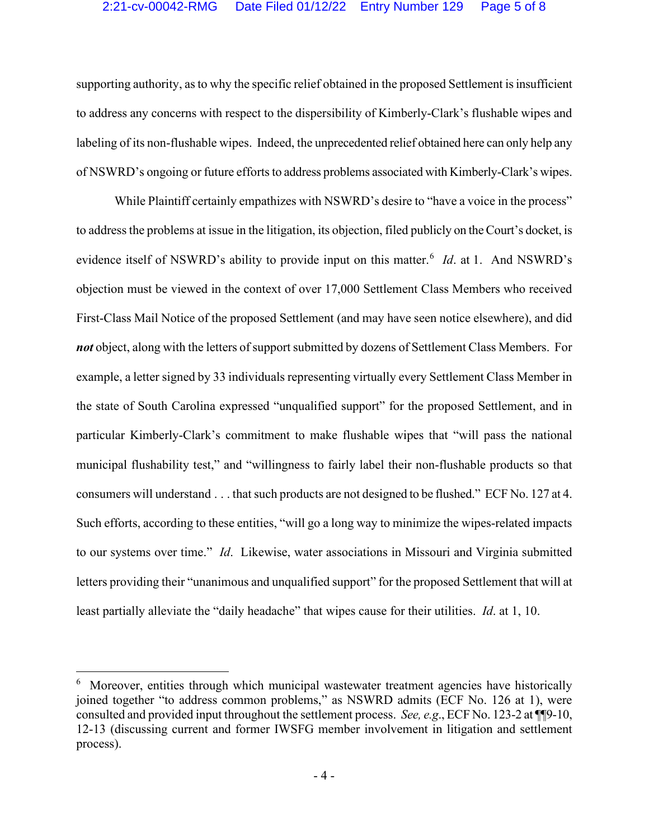supporting authority, as to why the specific relief obtained in the proposed Settlement is insufficient to address any concerns with respect to the dispersibility of Kimberly-Clark's flushable wipes and labeling of its non-flushable wipes. Indeed, the unprecedented relief obtained here can only help any of NSWRD's ongoing or future efforts to address problems associated with Kimberly-Clark's wipes.

While Plaintiff certainly empathizes with NSWRD's desire to "have a voice in the process" to address the problems at issue in the litigation, its objection, filed publicly on the Court's docket, is evidence itself of NSWRD's ability to provide input on this matter.<sup>[6](#page-4-0)</sup> *Id*. at 1. And NSWRD's objection must be viewed in the context of over 17,000 Settlement Class Members who received First-Class Mail Notice of the proposed Settlement (and may have seen notice elsewhere), and did *not* object, along with the letters of support submitted by dozens of Settlement Class Members. For example, a letter signed by 33 individuals representing virtually every Settlement Class Member in the state of South Carolina expressed "unqualified support" for the proposed Settlement, and in particular Kimberly-Clark's commitment to make flushable wipes that "will pass the national municipal flushability test," and "willingness to fairly label their non-flushable products so that consumers will understand . . . that such products are not designed to be flushed." ECF No. 127 at 4. Such efforts, according to these entities, "will go a long way to minimize the wipes-related impacts to our systems over time." *Id*. Likewise, water associations in Missouri and Virginia submitted letters providing their "unanimous and unqualified support" for the proposed Settlement that will at least partially alleviate the "daily headache" that wipes cause for their utilities. *Id*. at 1, 10.

<span id="page-4-0"></span><sup>&</sup>lt;sup>6</sup> Moreover, entities through which municipal wastewater treatment agencies have historically joined together "to address common problems," as NSWRD admits (ECF No. 126 at 1), were consulted and provided input throughout the settlement process. *See, e.g*., ECF No. 123-2 at ¶¶9-10, 12-13 (discussing current and former IWSFG member involvement in litigation and settlement process).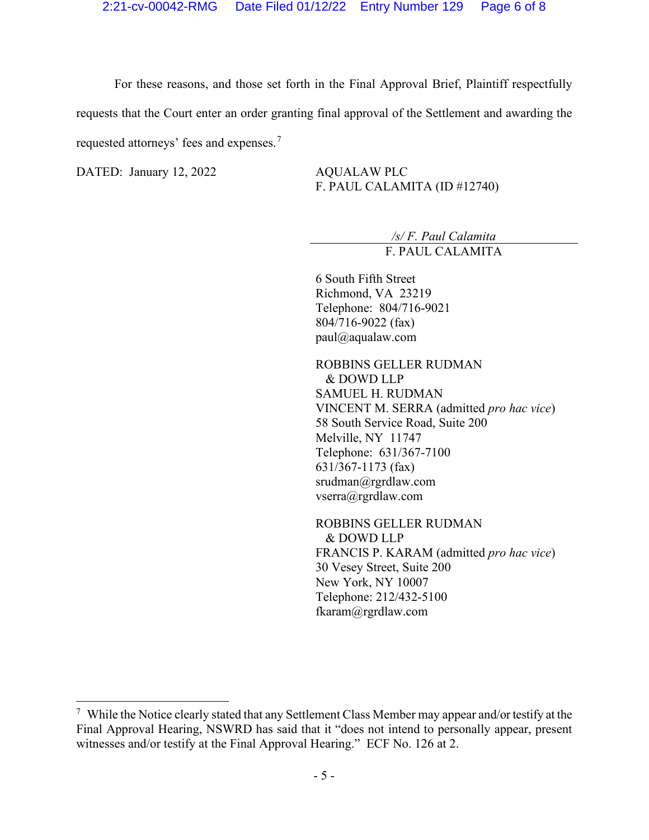For these reasons, and those set forth in the Final Approval Brief, Plaintiff respectfully requests that the Court enter an order granting final approval of the Settlement and awarding the requested attorneys' fees and expenses.[7](#page-5-0)

DATED: January 12, 2022 AQUALAW PLC

F. PAUL CALAMITA (ID #12740)

*/s/ F. Paul Calamita* F. PAUL CALAMITA

6 South Fifth Street Richmond, VA 23219 Telephone: 804/716-9021 804/716-9022 (fax) paul@aqualaw.com

ROBBINS GELLER RUDMAN & DOWD LLP SAMUEL H. RUDMAN VINCENT M. SERRA (admitted *pro hac vice*) 58 South Service Road, Suite 200 Melville, NY 11747 Telephone: 631/367-7100 631/367-1173 (fax) srudman@rgrdlaw.com vserra@rgrdlaw.com

ROBBINS GELLER RUDMAN & DOWD LLP FRANCIS P. KARAM (admitted *pro hac vice*) 30 Vesey Street, Suite 200 New York, NY 10007 Telephone: 212/432-5100 fkaram@rgrdlaw.com

<span id="page-5-0"></span> $7$  While the Notice clearly stated that any Settlement Class Member may appear and/or testify at the Final Approval Hearing, NSWRD has said that it "does not intend to personally appear, present witnesses and/or testify at the Final Approval Hearing." ECF No. 126 at 2.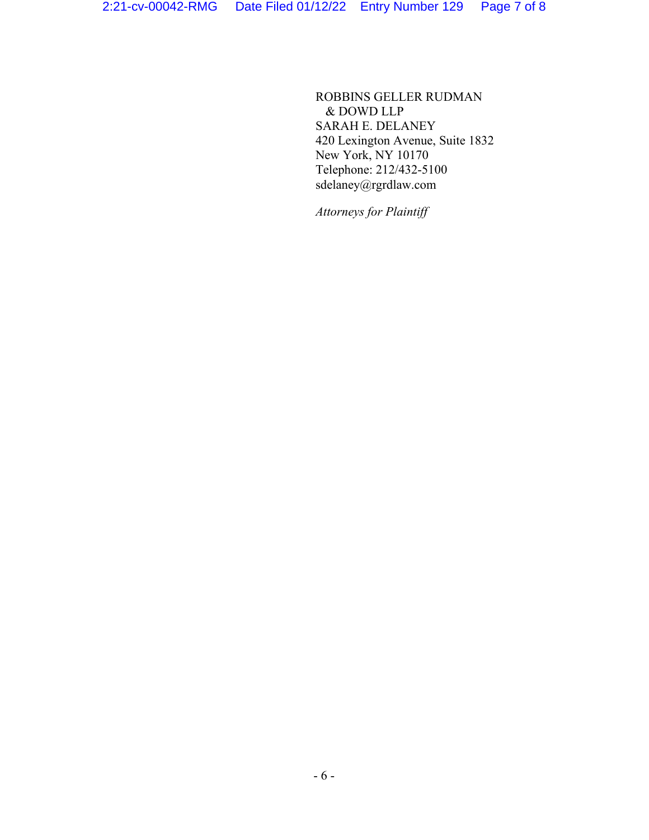ROBBINS GELLER RUDMAN & DOWD LLP SARAH E. DELANEY 420 Lexington Avenue, Suite 1832 New York, NY 10170 Telephone: 212/432-5100 sdelaney@rgrdlaw.com

*Attorneys for Plaintiff*